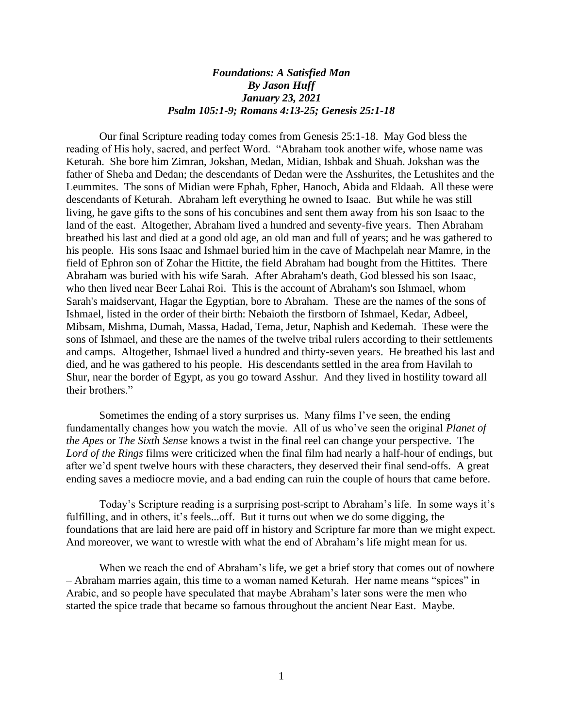## *Foundations: A Satisfied Man By Jason Huff January 23, 2021 Psalm 105:1-9; Romans 4:13-25; Genesis 25:1-18*

Our final Scripture reading today comes from Genesis 25:1-18. May God bless the reading of His holy, sacred, and perfect Word. "Abraham took another wife, whose name was Keturah. She bore him Zimran, Jokshan, Medan, Midian, Ishbak and Shuah. Jokshan was the father of Sheba and Dedan; the descendants of Dedan were the Asshurites, the Letushites and the Leummites. The sons of Midian were Ephah, Epher, Hanoch, Abida and Eldaah. All these were descendants of Keturah. Abraham left everything he owned to Isaac. But while he was still living, he gave gifts to the sons of his concubines and sent them away from his son Isaac to the land of the east. Altogether, Abraham lived a hundred and seventy-five years. Then Abraham breathed his last and died at a good old age, an old man and full of years; and he was gathered to his people. His sons Isaac and Ishmael buried him in the cave of Machpelah near Mamre, in the field of Ephron son of Zohar the Hittite, the field Abraham had bought from the Hittites. There Abraham was buried with his wife Sarah. After Abraham's death, God blessed his son Isaac, who then lived near Beer Lahai Roi. This is the account of Abraham's son Ishmael, whom Sarah's maidservant, Hagar the Egyptian, bore to Abraham. These are the names of the sons of Ishmael, listed in the order of their birth: Nebaioth the firstborn of Ishmael, Kedar, Adbeel, Mibsam, Mishma, Dumah, Massa, Hadad, Tema, Jetur, Naphish and Kedemah. These were the sons of Ishmael, and these are the names of the twelve tribal rulers according to their settlements and camps. Altogether, Ishmael lived a hundred and thirty-seven years. He breathed his last and died, and he was gathered to his people. His descendants settled in the area from Havilah to Shur, near the border of Egypt, as you go toward Asshur. And they lived in hostility toward all their brothers."

Sometimes the ending of a story surprises us. Many films I've seen, the ending fundamentally changes how you watch the movie. All of us who've seen the original *Planet of the Apes* or *The Sixth Sense* knows a twist in the final reel can change your perspective. The *Lord of the Rings* films were criticized when the final film had nearly a half-hour of endings, but after we'd spent twelve hours with these characters, they deserved their final send-offs. A great ending saves a mediocre movie, and a bad ending can ruin the couple of hours that came before.

Today's Scripture reading is a surprising post-script to Abraham's life. In some ways it's fulfilling, and in others, it's feels...off. But it turns out when we do some digging, the foundations that are laid here are paid off in history and Scripture far more than we might expect. And moreover, we want to wrestle with what the end of Abraham's life might mean for us.

When we reach the end of Abraham's life, we get a brief story that comes out of nowhere – Abraham marries again, this time to a woman named Keturah. Her name means "spices" in Arabic, and so people have speculated that maybe Abraham's later sons were the men who started the spice trade that became so famous throughout the ancient Near East. Maybe.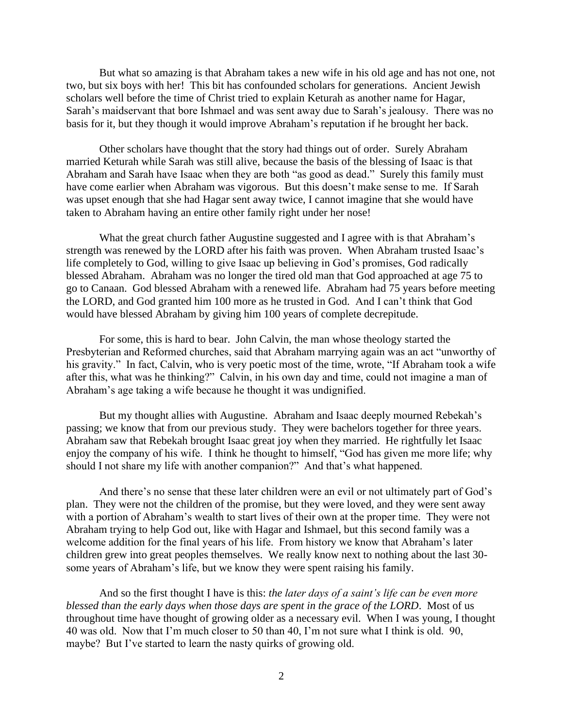But what so amazing is that Abraham takes a new wife in his old age and has not one, not two, but six boys with her! This bit has confounded scholars for generations. Ancient Jewish scholars well before the time of Christ tried to explain Keturah as another name for Hagar, Sarah's maidservant that bore Ishmael and was sent away due to Sarah's jealousy. There was no basis for it, but they though it would improve Abraham's reputation if he brought her back.

Other scholars have thought that the story had things out of order. Surely Abraham married Keturah while Sarah was still alive, because the basis of the blessing of Isaac is that Abraham and Sarah have Isaac when they are both "as good as dead." Surely this family must have come earlier when Abraham was vigorous. But this doesn't make sense to me. If Sarah was upset enough that she had Hagar sent away twice, I cannot imagine that she would have taken to Abraham having an entire other family right under her nose!

What the great church father Augustine suggested and I agree with is that Abraham's strength was renewed by the LORD after his faith was proven. When Abraham trusted Isaac's life completely to God, willing to give Isaac up believing in God's promises, God radically blessed Abraham. Abraham was no longer the tired old man that God approached at age 75 to go to Canaan. God blessed Abraham with a renewed life. Abraham had 75 years before meeting the LORD, and God granted him 100 more as he trusted in God. And I can't think that God would have blessed Abraham by giving him 100 years of complete decrepitude.

For some, this is hard to bear. John Calvin, the man whose theology started the Presbyterian and Reformed churches, said that Abraham marrying again was an act "unworthy of his gravity." In fact, Calvin, who is very poetic most of the time, wrote, "If Abraham took a wife after this, what was he thinking?" Calvin, in his own day and time, could not imagine a man of Abraham's age taking a wife because he thought it was undignified.

But my thought allies with Augustine. Abraham and Isaac deeply mourned Rebekah's passing; we know that from our previous study. They were bachelors together for three years. Abraham saw that Rebekah brought Isaac great joy when they married. He rightfully let Isaac enjoy the company of his wife. I think he thought to himself, "God has given me more life; why should I not share my life with another companion?" And that's what happened.

And there's no sense that these later children were an evil or not ultimately part of God's plan. They were not the children of the promise, but they were loved, and they were sent away with a portion of Abraham's wealth to start lives of their own at the proper time. They were not Abraham trying to help God out, like with Hagar and Ishmael, but this second family was a welcome addition for the final years of his life. From history we know that Abraham's later children grew into great peoples themselves. We really know next to nothing about the last 30 some years of Abraham's life, but we know they were spent raising his family.

And so the first thought I have is this: *the later days of a saint's life can be even more blessed than the early days when those days are spent in the grace of the LORD*. Most of us throughout time have thought of growing older as a necessary evil. When I was young, I thought 40 was old. Now that I'm much closer to 50 than 40, I'm not sure what I think is old. 90, maybe? But I've started to learn the nasty quirks of growing old.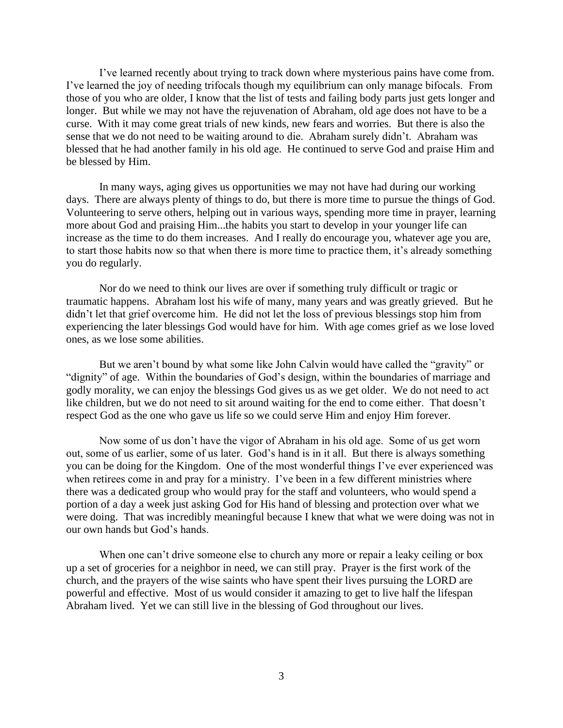I've learned recently about trying to track down where mysterious pains have come from. I've learned the joy of needing trifocals though my equilibrium can only manage bifocals. From those of you who are older, I know that the list of tests and failing body parts just gets longer and longer. But while we may not have the rejuvenation of Abraham, old age does not have to be a curse. With it may come great trials of new kinds, new fears and worries. But there is also the sense that we do not need to be waiting around to die. Abraham surely didn't. Abraham was blessed that he had another family in his old age. He continued to serve God and praise Him and be blessed by Him.

In many ways, aging gives us opportunities we may not have had during our working days. There are always plenty of things to do, but there is more time to pursue the things of God. Volunteering to serve others, helping out in various ways, spending more time in prayer, learning more about God and praising Him...the habits you start to develop in your younger life can increase as the time to do them increases. And I really do encourage you, whatever age you are, to start those habits now so that when there is more time to practice them, it's already something you do regularly.

Nor do we need to think our lives are over if something truly difficult or tragic or traumatic happens. Abraham lost his wife of many, many years and was greatly grieved. But he didn't let that grief overcome him. He did not let the loss of previous blessings stop him from experiencing the later blessings God would have for him. With age comes grief as we lose loved ones, as we lose some abilities.

But we aren't bound by what some like John Calvin would have called the "gravity" or "dignity" of age. Within the boundaries of God's design, within the boundaries of marriage and godly morality, we can enjoy the blessings God gives us as we get older. We do not need to act like children, but we do not need to sit around waiting for the end to come either. That doesn't respect God as the one who gave us life so we could serve Him and enjoy Him forever.

Now some of us don't have the vigor of Abraham in his old age. Some of us get worn out, some of us earlier, some of us later. God's hand is in it all. But there is always something you can be doing for the Kingdom. One of the most wonderful things I've ever experienced was when retirees come in and pray for a ministry. I've been in a few different ministries where there was a dedicated group who would pray for the staff and volunteers, who would spend a portion of a day a week just asking God for His hand of blessing and protection over what we were doing. That was incredibly meaningful because I knew that what we were doing was not in our own hands but God's hands.

When one can't drive someone else to church any more or repair a leaky ceiling or box up a set of groceries for a neighbor in need, we can still pray. Prayer is the first work of the church, and the prayers of the wise saints who have spent their lives pursuing the LORD are powerful and effective. Most of us would consider it amazing to get to live half the lifespan Abraham lived. Yet we can still live in the blessing of God throughout our lives.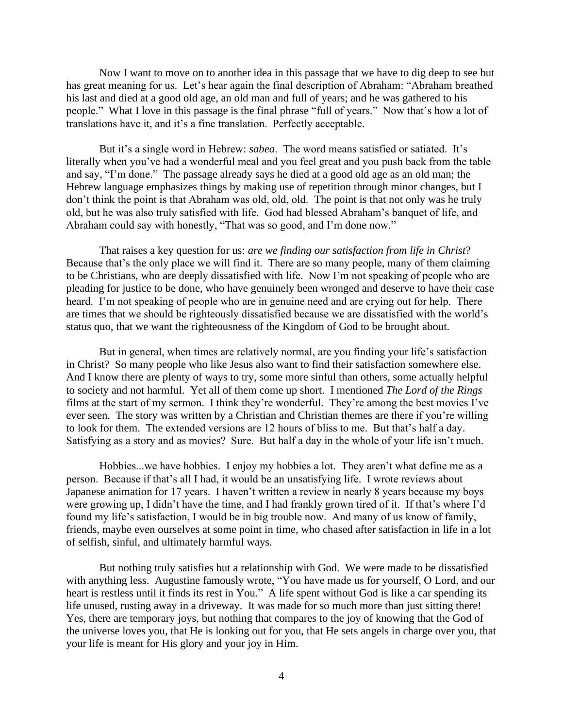Now I want to move on to another idea in this passage that we have to dig deep to see but has great meaning for us. Let's hear again the final description of Abraham: "Abraham breathed his last and died at a good old age, an old man and full of years; and he was gathered to his people." What I love in this passage is the final phrase "full of years." Now that's how a lot of translations have it, and it's a fine translation. Perfectly acceptable.

But it's a single word in Hebrew: *sabea*. The word means satisfied or satiated. It's literally when you've had a wonderful meal and you feel great and you push back from the table and say, "I'm done." The passage already says he died at a good old age as an old man; the Hebrew language emphasizes things by making use of repetition through minor changes, but I don't think the point is that Abraham was old, old, old. The point is that not only was he truly old, but he was also truly satisfied with life. God had blessed Abraham's banquet of life, and Abraham could say with honestly, "That was so good, and I'm done now."

That raises a key question for us: *are we finding our satisfaction from life in Christ*? Because that's the only place we will find it. There are so many people, many of them claiming to be Christians, who are deeply dissatisfied with life. Now I'm not speaking of people who are pleading for justice to be done, who have genuinely been wronged and deserve to have their case heard. I'm not speaking of people who are in genuine need and are crying out for help. There are times that we should be righteously dissatisfied because we are dissatisfied with the world's status quo, that we want the righteousness of the Kingdom of God to be brought about.

But in general, when times are relatively normal, are you finding your life's satisfaction in Christ? So many people who like Jesus also want to find their satisfaction somewhere else. And I know there are plenty of ways to try, some more sinful than others, some actually helpful to society and not harmful. Yet all of them come up short. I mentioned *The Lord of the Rings* films at the start of my sermon. I think they're wonderful. They're among the best movies I've ever seen. The story was written by a Christian and Christian themes are there if you're willing to look for them. The extended versions are 12 hours of bliss to me. But that's half a day. Satisfying as a story and as movies? Sure. But half a day in the whole of your life isn't much.

Hobbies...we have hobbies. I enjoy my hobbies a lot. They aren't what define me as a person. Because if that's all I had, it would be an unsatisfying life. I wrote reviews about Japanese animation for 17 years. I haven't written a review in nearly 8 years because my boys were growing up, I didn't have the time, and I had frankly grown tired of it. If that's where I'd found my life's satisfaction, I would be in big trouble now. And many of us know of family, friends, maybe even ourselves at some point in time, who chased after satisfaction in life in a lot of selfish, sinful, and ultimately harmful ways.

But nothing truly satisfies but a relationship with God. We were made to be dissatisfied with anything less. Augustine famously wrote, "You have made us for yourself, O Lord, and our heart is restless until it finds its rest in You." A life spent without God is like a car spending its life unused, rusting away in a driveway. It was made for so much more than just sitting there! Yes, there are temporary joys, but nothing that compares to the joy of knowing that the God of the universe loves you, that He is looking out for you, that He sets angels in charge over you, that your life is meant for His glory and your joy in Him.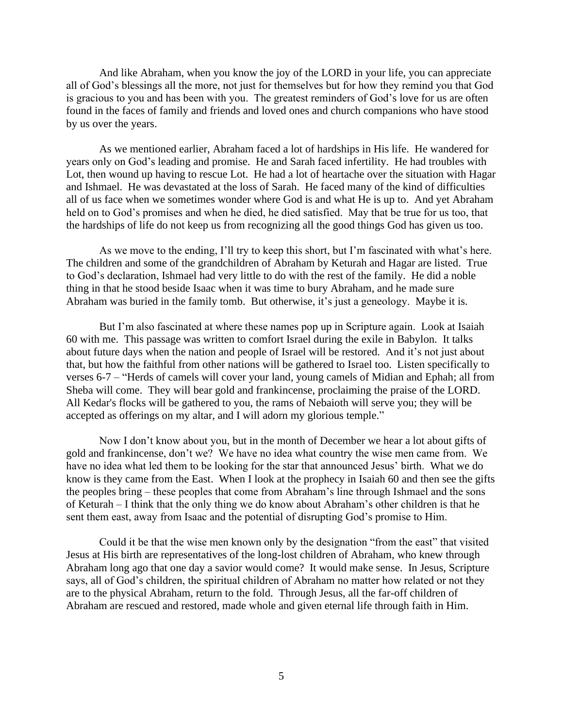And like Abraham, when you know the joy of the LORD in your life, you can appreciate all of God's blessings all the more, not just for themselves but for how they remind you that God is gracious to you and has been with you. The greatest reminders of God's love for us are often found in the faces of family and friends and loved ones and church companions who have stood by us over the years.

As we mentioned earlier, Abraham faced a lot of hardships in His life. He wandered for years only on God's leading and promise. He and Sarah faced infertility. He had troubles with Lot, then wound up having to rescue Lot. He had a lot of heartache over the situation with Hagar and Ishmael. He was devastated at the loss of Sarah. He faced many of the kind of difficulties all of us face when we sometimes wonder where God is and what He is up to. And yet Abraham held on to God's promises and when he died, he died satisfied. May that be true for us too, that the hardships of life do not keep us from recognizing all the good things God has given us too.

As we move to the ending, I'll try to keep this short, but I'm fascinated with what's here. The children and some of the grandchildren of Abraham by Keturah and Hagar are listed. True to God's declaration, Ishmael had very little to do with the rest of the family. He did a noble thing in that he stood beside Isaac when it was time to bury Abraham, and he made sure Abraham was buried in the family tomb. But otherwise, it's just a geneology. Maybe it is.

But I'm also fascinated at where these names pop up in Scripture again. Look at Isaiah 60 with me. This passage was written to comfort Israel during the exile in Babylon. It talks about future days when the nation and people of Israel will be restored. And it's not just about that, but how the faithful from other nations will be gathered to Israel too. Listen specifically to verses 6-7 – "Herds of camels will cover your land, young camels of Midian and Ephah; all from Sheba will come. They will bear gold and frankincense, proclaiming the praise of the LORD. All Kedar's flocks will be gathered to you, the rams of Nebaioth will serve you; they will be accepted as offerings on my altar, and I will adorn my glorious temple."

Now I don't know about you, but in the month of December we hear a lot about gifts of gold and frankincense, don't we? We have no idea what country the wise men came from. We have no idea what led them to be looking for the star that announced Jesus' birth. What we do know is they came from the East. When I look at the prophecy in Isaiah 60 and then see the gifts the peoples bring – these peoples that come from Abraham's line through Ishmael and the sons of Keturah – I think that the only thing we do know about Abraham's other children is that he sent them east, away from Isaac and the potential of disrupting God's promise to Him.

Could it be that the wise men known only by the designation "from the east" that visited Jesus at His birth are representatives of the long-lost children of Abraham, who knew through Abraham long ago that one day a savior would come? It would make sense. In Jesus, Scripture says, all of God's children, the spiritual children of Abraham no matter how related or not they are to the physical Abraham, return to the fold. Through Jesus, all the far-off children of Abraham are rescued and restored, made whole and given eternal life through faith in Him.